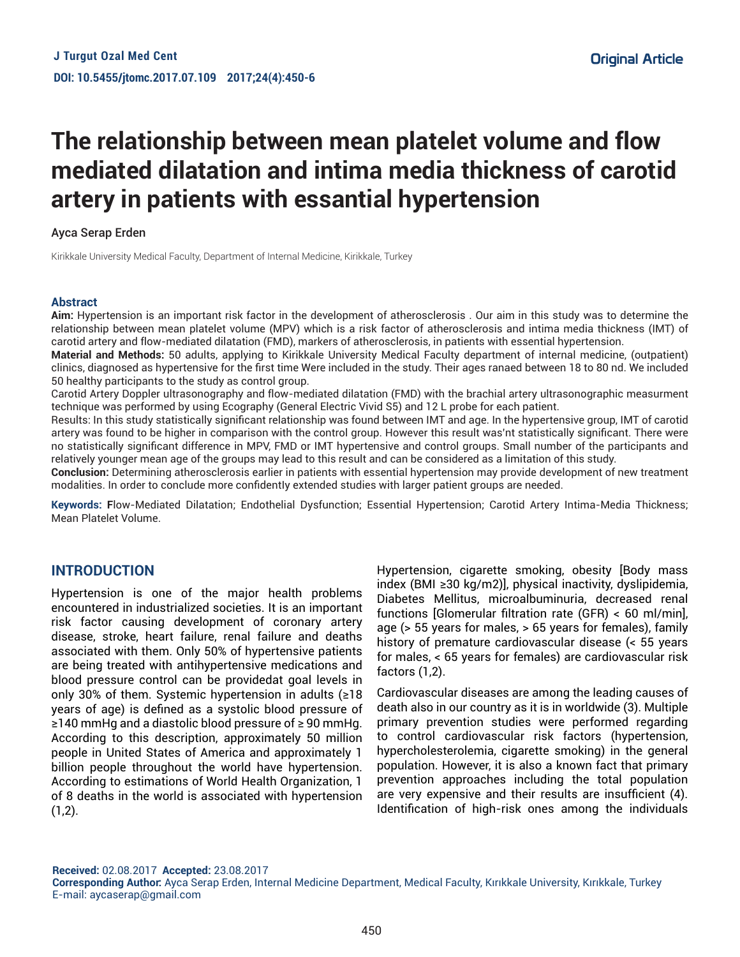# **The relationship between mean platelet volume and flow mediated dilatation and intima media thickness of carotid artery in patients with essantial hypertension**

Ayca Serap Erden

Kirikkale University Medical Faculty, Department of Internal Medicine, Kirikkale, Turkey

#### **Abstract**

**Aim:** Hypertension is an important risk factor in the development of atherosclerosis . Our aim in this study was to determine the relationship between mean platelet volume (MPV) which is a risk factor of atherosclerosis and intima media thickness (IMT) of carotid artery and flow-mediated dilatation (FMD), markers of atherosclerosis, in patients with essential hypertension.

**Material and Methods:** 50 adults, applying to Kirikkale University Medical Faculty department of internal medicine, (outpatient) clinics, diagnosed as hypertensive for the first time Were included in the study. Their ages ranaed between 18 to 80 nd. We included 50 healthy participants to the study as control group.

Carotid Artery Doppler ultrasonography and flow-mediated dilatation (FMD) with the brachial artery ultrasonographic measurment technique was performed by using Ecography (General Electric Vivid S5) and 12 L probe for each patient.

Results: In this study statistically significant relationship was found between IMT and age. In the hypertensive group, IMT of carotid artery was found to be higher in comparison with the control group. However this result was'nt statistically significant. There were no statistically significant difference in MPV, FMD or IMT hypertensive and control groups. Small number of the participants and relatively younger mean age of the groups may lead to this result and can be considered as a limitation of this study.

**Conclusion:** Determining atherosclerosis earlier in patients with essential hypertension may provide development of new treatment modalities. In order to conclude more confidentIy extended studies with larger patient groups are needed.

**Keywords: F**low-Mediated Dilatation; Endothelial Dysfunction; Essential Hypertension; Carotid Artery Intima-Media Thickness; Mean Platelet Volume.

# **INTRODUCTION**

Hypertension is one of the major health problems encountered in industrialized societies. It is an important risk factor causing development of coronary artery disease, stroke, heart failure, renal failure and deaths associated with them. Only 50% of hypertensive patients are being treated with antihypertensive medications and blood pressure control can be providedat goal levels in only 30% of them. Systemic hypertension in adults (≥18 years of age) is defined as a systolic blood pressure of ≥140 mmHg and a diastolic blood pressure of ≥ 90 mmHg. According to this description, approximately 50 million people in United States of America and approximately 1 billion people throughout the world have hypertension. According to estimations of World Health Organization, 1 of 8 deaths in the world is associated with hypertension  $(1,2)$ .

Hypertension, cigarette smoking, obesity [Body mass index (BMI ≥30 kg/m2)], physical inactivity, dyslipidemia, Diabetes Mellitus, microalbuminuria, decreased renal functions [Glomerular filtration rate (GFR) < 60 ml/min], age (> 55 years for males, > 65 years for females), family history of premature cardiovascular disease (< 55 years for males, < 65 years for females) are cardiovascular risk factors (1,2).

Cardiovascular diseases are among the leading causes of death also in our country as it is in worldwide (3). Multiple primary prevention studies were performed regarding to control cardiovascular risk factors (hypertension, hypercholesterolemia, cigarette smoking) in the general population. However, it is also a known fact that primary prevention approaches including the total population are very expensive and their results are insufficient (4). Identification of high-risk ones among the individuals

**Received:** 02.08.2017 **Accepted:** 23.08.2017 **Corresponding Author:** Ayca Serap Erden, Internal Medicine Department, Medical Faculty, Kırıkkale University, Kırıkkale, Turkey E-mail: aycaserap@gmail.com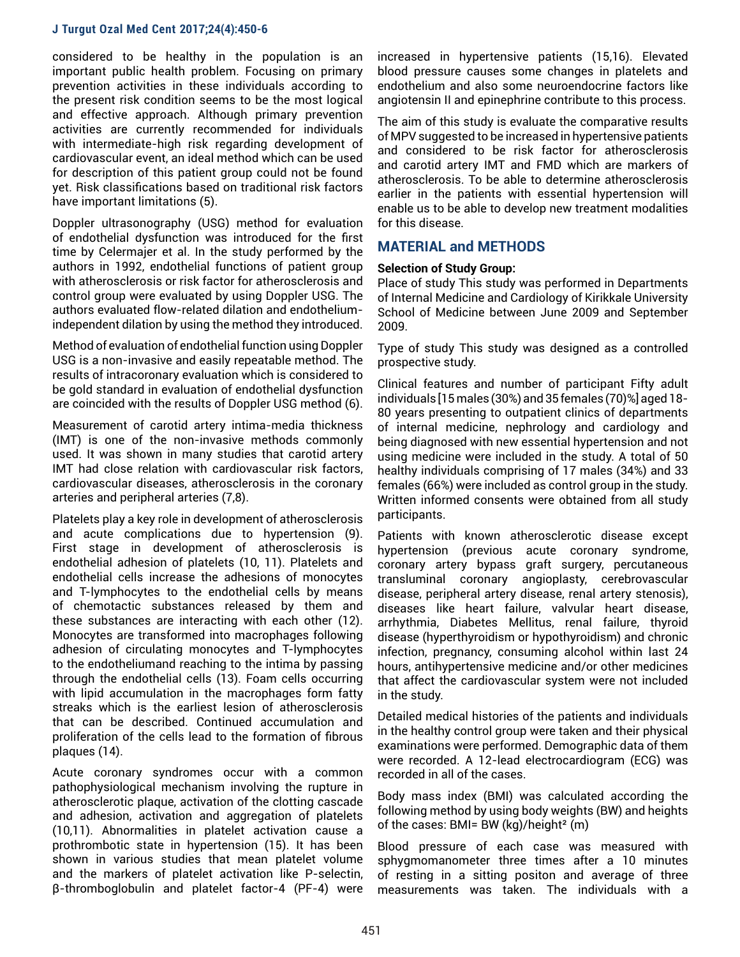considered to be healthy in the population is an important public health problem. Focusing on primary prevention activities in these individuals according to the present risk condition seems to be the most logical and effective approach. Although primary prevention activities are currently recommended for individuals with intermediate-high risk regarding development of cardiovascular event, an ideal method which can be used for description of this patient group could not be found yet. Risk classifications based on traditional risk factors have important limitations (5).

Doppler ultrasonography (USG) method for evaluation of endothelial dysfunction was introduced for the first time by Celermajer et al. In the study performed by the authors in 1992, endothelial functions of patient group with atherosclerosis or risk factor for atherosclerosis and control group were evaluated by using Doppler USG. The authors evaluated flow-related dilation and endotheliumindependent dilation by using the method they introduced.

Method of evaluation of endothelial function using Doppler USG is a non-invasive and easily repeatable method. The results of intracoronary evaluation which is considered to be gold standard in evaluation of endothelial dysfunction are coincided with the results of Doppler USG method (6).

Measurement of carotid artery intima-media thickness (IMT) is one of the non-invasive methods commonly used. It was shown in many studies that carotid artery IMT had close relation with cardiovascular risk factors, cardiovascular diseases, atherosclerosis in the coronary arteries and peripheral arteries (7,8).

Platelets play a key role in development of atherosclerosis and acute complications due to hypertension (9). First stage in development of atherosclerosis is endothelial adhesion of platelets (10, 11). Platelets and endothelial cells increase the adhesions of monocytes and T-lymphocytes to the endothelial cells by means of chemotactic substances released by them and these substances are interacting with each other (12). Monocytes are transformed into macrophages following adhesion of circulating monocytes and T-lymphocytes to the endotheliumand reaching to the intima by passing through the endothelial cells (13). Foam cells occurring with lipid accumulation in the macrophages form fatty streaks which is the earliest lesion of atherosclerosis that can be described. Continued accumulation and proliferation of the cells lead to the formation of fibrous plaques (14).

Acute coronary syndromes occur with a common pathophysiological mechanism involving the rupture in atherosclerotic plaque, activation of the clotting cascade and adhesion, activation and aggregation of platelets (10,11). Abnormalities in platelet activation cause a prothrombotic state in hypertension (15). It has been shown in various studies that mean platelet volume and the markers of platelet activation like P-selectin, β-thromboglobulin and platelet factor-4 (PF-4) were

increased in hypertensive patients (15,16). Elevated blood pressure causes some changes in platelets and endothelium and also some neuroendocrine factors like angiotensin II and epinephrine contribute to this process.

The aim of this study is evaluate the comparative results of MPV suggested to be increased in hypertensive patients and considered to be risk factor for atherosclerosis and carotid artery IMT and FMD which are markers of atherosclerosis. To be able to determine atherosclerosis earlier in the patients with essential hypertension will enable us to be able to develop new treatment modalities for this disease.

# **MATERIAL and METHODS**

## **Selection of Study Group:**

Place of study This study was performed in Departments of Internal Medicine and Cardiology of Kirikkale University School of Medicine between June 2009 and September 2009.

Type of study This study was designed as a controlled prospective study.

Clinical features and number of participant Fifty adult individuals [15 males (30%) and 35 females (70)%] aged 18- 80 years presenting to outpatient clinics of departments of internal medicine, nephrology and cardiology and being diagnosed with new essential hypertension and not using medicine were included in the study. A total of 50 healthy individuals comprising of 17 males (34%) and 33 females (66%) were included as control group in the study. Written informed consents were obtained from all study participants.

Patients with known atherosclerotic disease except hypertension (previous acute coronary syndrome, coronary artery bypass graft surgery, percutaneous transluminal coronary angioplasty, cerebrovascular disease, peripheral artery disease, renal artery stenosis), diseases like heart failure, valvular heart disease, arrhythmia, Diabetes Mellitus, renal failure, thyroid disease (hyperthyroidism or hypothyroidism) and chronic infection, pregnancy, consuming alcohol within last 24 hours, antihypertensive medicine and/or other medicines that affect the cardiovascular system were not included in the study.

Detailed medical histories of the patients and individuals in the healthy control group were taken and their physical examinations were performed. Demographic data of them were recorded. A 12-lead electrocardiogram (ECG) was recorded in all of the cases.

Body mass index (BMI) was calculated according the following method by using body weights (BW) and heights of the cases: BMI= BW (kg)/height² (m)

Blood pressure of each case was measured with sphygmomanometer three times after a 10 minutes of resting in a sitting positon and average of three measurements was taken. The individuals with a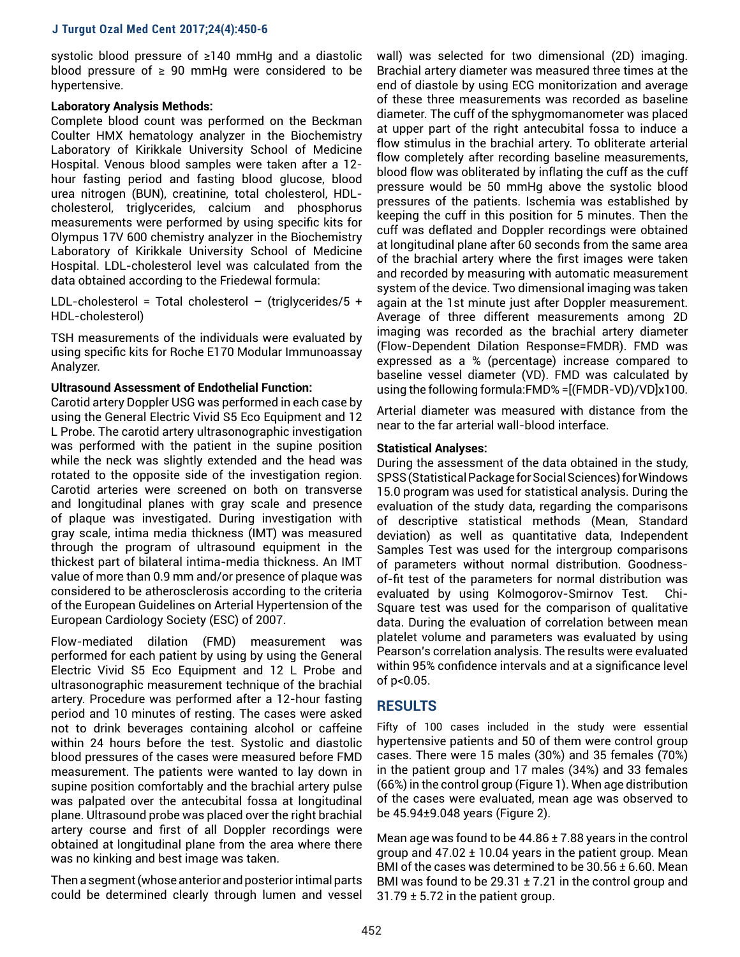systolic blood pressure of ≥140 mmHg and a diastolic blood pressure of  $≥$  90 mmHg were considered to be hypertensive.

## **Laboratory Analysis Methods:**

Complete blood count was performed on the Beckman Coulter HMX hematology analyzer in the Biochemistry Laboratory of Kirikkale University School of Medicine Hospital. Venous blood samples were taken after a 12 hour fasting period and fasting blood glucose, blood urea nitrogen (BUN), creatinine, total cholesterol, HDLcholesterol, triglycerides, calcium and phosphorus measurements were performed by using specific kits for Olympus 17V 600 chemistry analyzer in the Biochemistry Laboratory of Kirikkale University School of Medicine Hospital. LDL-cholesterol level was calculated from the data obtained according to the Friedewal formula:

LDL-cholesterol = Total cholesterol - (triglycerides/5 + HDL-cholesterol)

TSH measurements of the individuals were evaluated by using specific kits for Roche E170 Modular Immunoassay Analyzer.

## **Ultrasound Assessment of Endothelial Function:**

Carotid artery Doppler USG was performed in each case by using the General Electric Vivid S5 Eco Equipment and 12 L Probe. The carotid artery ultrasonographic investigation was performed with the patient in the supine position while the neck was slightly extended and the head was rotated to the opposite side of the investigation region. Carotid arteries were screened on both on transverse and longitudinal planes with gray scale and presence of plaque was investigated. During investigation with gray scale, intima media thickness (IMT) was measured through the program of ultrasound equipment in the thickest part of bilateral intima-media thickness. An IMT value of more than 0.9 mm and/or presence of plaque was considered to be atherosclerosis according to the criteria of the European Guidelines on Arterial Hypertension of the European Cardiology Society (ESC) of 2007.

Flow-mediated dilation (FMD) measurement was performed for each patient by using by using the General Electric Vivid S5 Eco Equipment and 12 L Probe and ultrasonographic measurement technique of the brachial artery. Procedure was performed after a 12-hour fasting period and 10 minutes of resting. The cases were asked not to drink beverages containing alcohol or caffeine within 24 hours before the test. Systolic and diastolic blood pressures of the cases were measured before FMD measurement. The patients were wanted to lay down in supine position comfortably and the brachial artery pulse was palpated over the antecubital fossa at longitudinal plane. Ultrasound probe was placed over the right brachial artery course and first of all Doppler recordings were obtained at longitudinal plane from the area where there was no kinking and best image was taken.

Then a segment (whose anterior and posterior intimal parts could be determined clearly through lumen and vessel wall) was selected for two dimensional (2D) imaging. Brachial artery diameter was measured three times at the end of diastole by using ECG monitorization and average of these three measurements was recorded as baseline diameter. The cuff of the sphygmomanometer was placed at upper part of the right antecubital fossa to induce a flow stimulus in the brachial artery. To obliterate arterial flow completely after recording baseline measurements, blood flow was obliterated by inflating the cuff as the cuff pressure would be 50 mmHg above the systolic blood pressures of the patients. Ischemia was established by keeping the cuff in this position for 5 minutes. Then the cuff was deflated and Doppler recordings were obtained at longitudinal plane after 60 seconds from the same area of the brachial artery where the first images were taken and recorded by measuring with automatic measurement system of the device. Two dimensional imaging was taken again at the 1st minute just after Doppler measurement. Average of three different measurements among 2D imaging was recorded as the brachial artery diameter (Flow-Dependent Dilation Response=FMDR). FMD was expressed as a % (percentage) increase compared to baseline vessel diameter (VD). FMD was calculated by using the following formula:FMD% =[(FMDR-VD)/VD]x100.

Arterial diameter was measured with distance from the near to the far arterial wall-blood interface.

## **Statistical Analyses:**

During the assessment of the data obtained in the study, SPSS (Statistical Package for Social Sciences) for Windows 15.0 program was used for statistical analysis. During the evaluation of the study data, regarding the comparisons of descriptive statistical methods (Mean, Standard deviation) as well as quantitative data, Independent Samples Test was used for the intergroup comparisons of parameters without normal distribution. Goodnessof-fit test of the parameters for normal distribution was evaluated by using Kolmogorov-Smirnov Test. Chi-Square test was used for the comparison of qualitative data. During the evaluation of correlation between mean platelet volume and parameters was evaluated by using Pearson's correlation analysis. The results were evaluated within 95% confidence intervals and at a significance level of p<0.05.

# **RESULTS**

Fifty of 100 cases included in the study were essential hypertensive patients and 50 of them were control group cases. There were 15 males (30%) and 35 females (70%) in the patient group and 17 males (34%) and 33 females (66%) in the control group (Figure 1). When age distribution of the cases were evaluated, mean age was observed to be 45.94±9.048 years (Figure 2).

Mean age was found to be 44.86 ± 7.88 years in the control group and  $47.02 \pm 10.04$  years in the patient group. Mean BMI of the cases was determined to be 30.56 ± 6.60. Mean BMI was found to be 29.31 ± 7.21 in the control group and 31.79  $\pm$  5.72 in the patient group.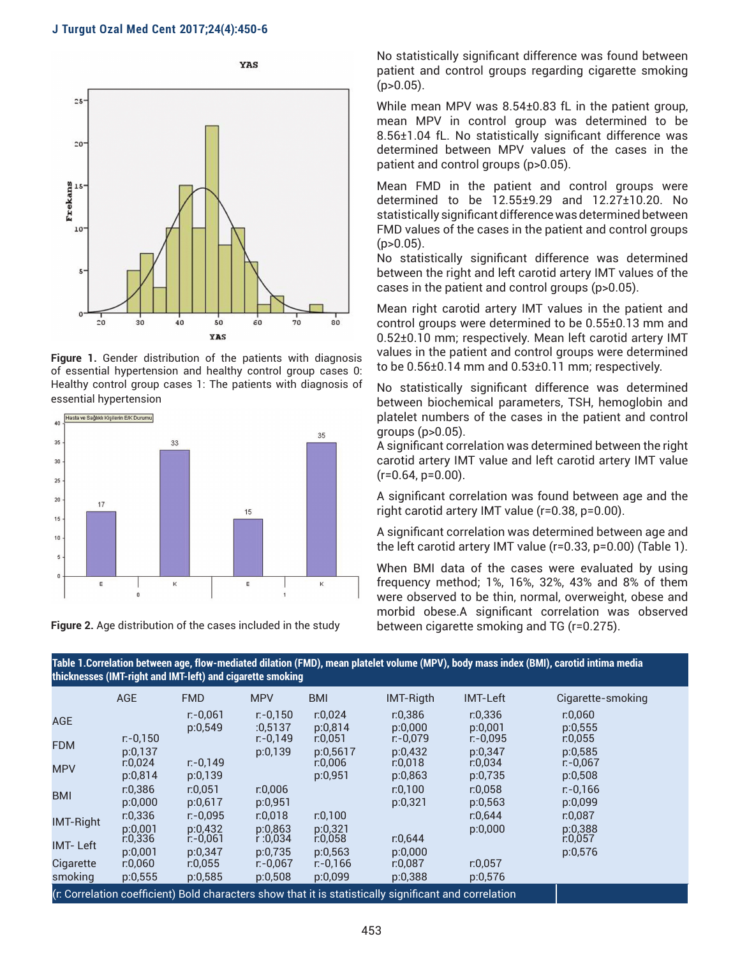

**Figure 1.** Gender distribution of the patients with diagnosis of essential hypertension and healthy control group cases 0: Healthy control group cases 1: The patients with diagnosis of essential hypertension



**Figure 2.** Age distribution of the cases included in the study

No statistically significant difference was found between patient and control groups regarding cigarette smoking  $(p>0.05)$ .

While mean MPV was 8.54±0.83 fL in the patient group, mean MPV in control group was determined to be 8.56±1.04 fL. No statistically significant difference was determined between MPV values of the cases in the patient and control groups (p>0.05).

Mean FMD in the patient and control groups were determined to be 12.55±9.29 and 12.27±10.20. No statistically significant difference was determined between FMD values of the cases in the patient and control groups  $(p>0.05)$ .

No statistically significant difference was determined between the right and left carotid artery IMT values of the cases in the patient and control groups (p>0.05).

Mean right carotid artery IMT values in the patient and control groups were determined to be 0.55±0.13 mm and 0.52±0.10 mm; respectively. Mean left carotid artery IMT values in the patient and control groups were determined to be 0.56±0.14 mm and 0.53±0.11 mm; respectively.

No statistically significant difference was determined between biochemical parameters, TSH, hemoglobin and platelet numbers of the cases in the patient and control groups (p>0.05).

A significant correlation was determined between the right carotid artery IMT value and left carotid artery IMT value  $(r=0.64, p=0.00)$ .

A significant correlation was found between age and the right carotid artery IMT value (r=0.38, p=0.00).

A significant correlation was determined between age and the left carotid artery IMT value (r=0.33, p=0.00) (Table 1).

When BMI data of the cases were evaluated by using frequency method; 1%, 16%, 32%, 43% and 8% of them were observed to be thin, normal, overweight, obese and morbid obese.A significant correlation was observed between cigarette smoking and TG (r=0.275).

| Table T.Correlation between age, how-mediated dhation (FMD), mean platelet volume (MPV), body mass mdex (BMI), carotid intima media<br>thicknesses (IMT-right and IMT-left) and cigarette smoking |                        |                        |                        |                        |                                                                                                        |                        |                        |
|---------------------------------------------------------------------------------------------------------------------------------------------------------------------------------------------------|------------------------|------------------------|------------------------|------------------------|--------------------------------------------------------------------------------------------------------|------------------------|------------------------|
|                                                                                                                                                                                                   | <b>AGE</b>             | <b>FMD</b>             | <b>MPV</b>             | <b>BMI</b>             | <b>IMT-Rigth</b>                                                                                       | <b>IMT-Left</b>        | Cigarette-smoking      |
| <b>AGE</b>                                                                                                                                                                                        |                        | $r - 0.061$<br>p:0,549 | $r - 0.150$<br>:0.5137 | r:0.024<br>p:0,814     | r:0,386<br>p:0,000                                                                                     | r:0,336<br>p:0,001     | r:0,060<br>p:0,555     |
| <b>FDM</b>                                                                                                                                                                                        | $r - 0,150$<br>p:0,137 |                        | $r - 0.149$<br>p:0,139 | r:0,051<br>p:0,5617    | $r - 0.079$<br>p:0,432                                                                                 | $r - 0.095$<br>p:0,347 | r:0,055<br>p:0,585     |
| <b>MPV</b>                                                                                                                                                                                        | r:0,024<br>p:0,814     | $r - 0.149$<br>p:0,139 |                        | r:0,006<br>p:0,951     | r:0,018<br>p:0,863                                                                                     | r:0,034<br>p:0,735     | $r - 0.067$<br>p:0,508 |
| <b>BMI</b>                                                                                                                                                                                        | r: 0.386<br>p:0,000    | r:0.051<br>p:0,617     | r:0.006<br>p:0,951     |                        | r: 0.100<br>p:0,321                                                                                    | r:0.058<br>p:0,563     | $r - 0.166$<br>p:0,099 |
| <b>IMT-Right</b>                                                                                                                                                                                  | r:0,336<br>p:0,001     | $r - 0.095$<br>p:0,432 | r:0.018<br>p:0,863     | r:0,100<br>p:0,321     |                                                                                                        | r:0,644<br>p:0,000     | r:0,087<br>p:0,388     |
| <b>IMT-Left</b>                                                                                                                                                                                   | r: 0, 336<br>p:0,001   | $r - 0.061$<br>p:0,347 | r:0,034<br>p:0,735     | r:0,058<br>p:0,563     | r:0,644<br>p:0,000                                                                                     |                        | r:0.057<br>p:0,576     |
| Cigarette<br>smoking                                                                                                                                                                              | r:0,060<br>p:0,555     | r:0,055<br>p:0,585     | $r - 0.067$<br>p:0,508 | $r - 0.166$<br>p:0,099 | r:0,087<br>p:0,388                                                                                     | r:0.057<br>p:0,576     |                        |
|                                                                                                                                                                                                   |                        |                        |                        |                        | (r: Correlation coefficient) Bold characters show that it is statistically significant and correlation |                        |                        |

**Table 1.Correlation between age, flow-mediated dilation (FMD), mean platelet volume (MPV), body mass index (BMI), carotid intima media**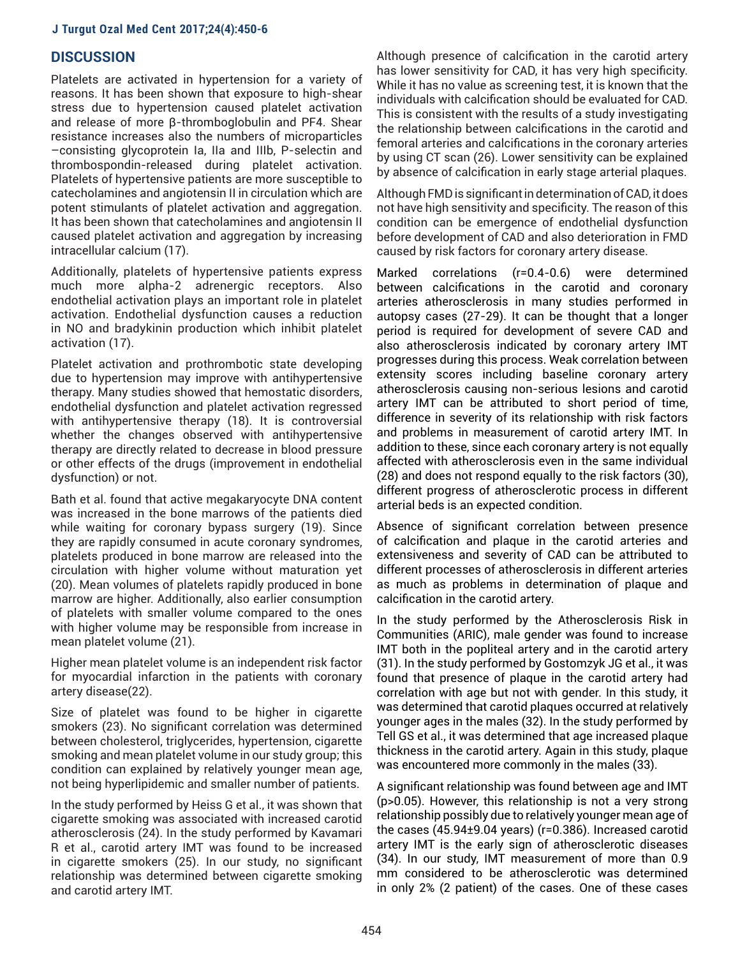## **DISCUSSION**

Platelets are activated in hypertension for a variety of reasons. It has been shown that exposure to high-shear stress due to hypertension caused platelet activation and release of more β-thromboglobulin and PF4. Shear resistance increases also the numbers of microparticles –consisting glycoprotein Ia, IIa and IIIb, P-selectin and thrombospondin-released during platelet activation. Platelets of hypertensive patients are more susceptible to catecholamines and angiotensin II in circulation which are potent stimulants of platelet activation and aggregation. It has been shown that catecholamines and angiotensin II caused platelet activation and aggregation by increasing intracellular calcium (17).

Additionally, platelets of hypertensive patients express much more alpha-2 adrenergic receptors. Also endothelial activation plays an important role in platelet activation. Endothelial dysfunction causes a reduction in NO and bradykinin production which inhibit platelet activation (17).

Platelet activation and prothrombotic state developing due to hypertension may improve with antihypertensive therapy. Many studies showed that hemostatic disorders, endothelial dysfunction and platelet activation regressed with antihypertensive therapy (18). It is controversial whether the changes observed with antihypertensive therapy are directly related to decrease in blood pressure or other effects of the drugs (improvement in endothelial dysfunction) or not.

Bath et al. found that active megakaryocyte DNA content was increased in the bone marrows of the patients died while waiting for coronary bypass surgery (19). Since they are rapidly consumed in acute coronary syndromes, platelets produced in bone marrow are released into the circulation with higher volume without maturation yet (20). Mean volumes of platelets rapidly produced in bone marrow are higher. Additionally, also earlier consumption of platelets with smaller volume compared to the ones with higher volume may be responsible from increase in mean platelet volume (21).

Higher mean platelet volume is an independent risk factor for myocardial infarction in the patients with coronary artery disease(22).

Size of platelet was found to be higher in cigarette smokers (23). No significant correlation was determined between cholesterol, triglycerides, hypertension, cigarette smoking and mean platelet volume in our study group; this condition can explained by relatively younger mean age, not being hyperlipidemic and smaller number of patients.

In the study performed by Heiss G et al., it was shown that cigarette smoking was associated with increased carotid atherosclerosis (24). In the study performed by Kavamari R et al., carotid artery IMT was found to be increased in cigarette smokers (25). In our study, no significant relationship was determined between cigarette smoking and carotid artery IMT.

Although presence of calcification in the carotid artery has lower sensitivity for CAD, it has very high specificity. While it has no value as screening test, it is known that the individuals with calcification should be evaluated for CAD. This is consistent with the results of a study investigating the relationship between calcifications in the carotid and femoral arteries and calcifications in the coronary arteries by using CT scan (26). Lower sensitivity can be explained by absence of calcification in early stage arterial plaques.

Although FMD is significant in determination of CAD, it does not have high sensitivity and specificity. The reason of this condition can be emergence of endothelial dysfunction before development of CAD and also deterioration in FMD caused by risk factors for coronary artery disease.

Marked correlations (r=0.4-0.6) were determined between calcifications in the carotid and coronary arteries atherosclerosis in many studies performed in autopsy cases (27-29). It can be thought that a longer period is required for development of severe CAD and also atherosclerosis indicated by coronary artery IMT progresses during this process. Weak correlation between extensity scores including baseline coronary artery atherosclerosis causing non-serious lesions and carotid artery IMT can be attributed to short period of time, difference in severity of its relationship with risk factors and problems in measurement of carotid artery IMT. In addition to these, since each coronary artery is not equally affected with atherosclerosis even in the same individual (28) and does not respond equally to the risk factors (30), different progress of atherosclerotic process in different arterial beds is an expected condition.

Absence of significant correlation between presence of calcification and plaque in the carotid arteries and extensiveness and severity of CAD can be attributed to different processes of atherosclerosis in different arteries as much as problems in determination of plaque and calcification in the carotid artery.

In the study performed by the Atherosclerosis Risk in Communities (ARIC), male gender was found to increase IMT both in the popliteal artery and in the carotid artery (31). In the study performed by Gostomzyk JG et al., it was found that presence of plaque in the carotid artery had correlation with age but not with gender. In this study, it was determined that carotid plaques occurred at relatively younger ages in the males (32). In the study performed by Tell GS et al., it was determined that age increased plaque thickness in the carotid artery. Again in this study, plaque was encountered more commonly in the males (33).

A significant relationship was found between age and IMT (p>0.05). However, this relationship is not a very strong relationship possibly due to relatively younger mean age of the cases (45.94±9.04 years) (r=0.386). Increased carotid artery IMT is the early sign of atherosclerotic diseases (34). In our study, IMT measurement of more than 0.9 mm considered to be atherosclerotic was determined in only 2% (2 patient) of the cases. One of these cases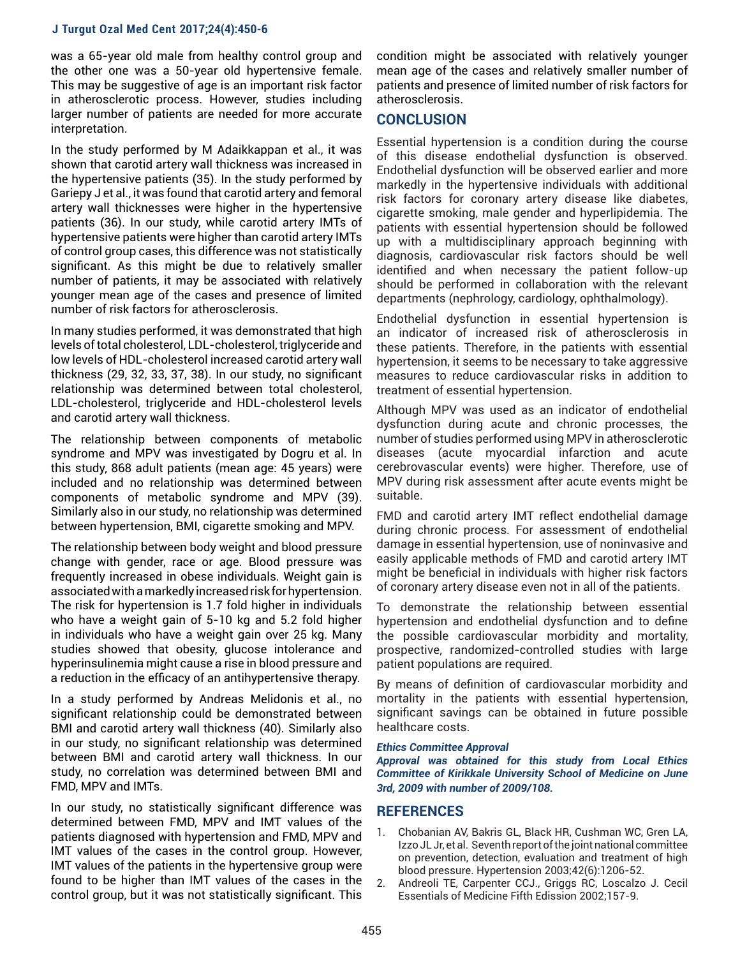was a 65-year old male from healthy control group and the other one was a 50-year old hypertensive female. This may be suggestive of age is an important risk factor in atherosclerotic process. However, studies including larger number of patients are needed for more accurate interpretation.

In the study performed by M Adaikkappan et al., it was shown that carotid artery wall thickness was increased in the hypertensive patients (35). In the study performed by Gariepy J et al., it was found that carotid artery and femoral artery wall thicknesses were higher in the hypertensive patients (36). In our study, while carotid artery IMTs of hypertensive patients were higher than carotid artery IMTs of control group cases, this difference was not statistically significant. As this might be due to relatively smaller number of patients, it may be associated with relatively younger mean age of the cases and presence of limited number of risk factors for atherosclerosis.

In many studies performed, it was demonstrated that high levels of total cholesterol, LDL-cholesterol, triglyceride and low levels of HDL-cholesterol increased carotid artery wall thickness (29, 32, 33, 37, 38). In our study, no significant relationship was determined between total cholesterol, LDL-cholesterol, triglyceride and HDL-cholesterol levels and carotid artery wall thickness.

The relationship between components of metabolic syndrome and MPV was investigated by Dogru et al. In this study, 868 adult patients (mean age: 45 years) were included and no relationship was determined between components of metabolic syndrome and MPV (39). Similarly also in our study, no relationship was determined between hypertension, BMI, cigarette smoking and MPV.

The relationship between body weight and blood pressure change with gender, race or age. Blood pressure was frequently increased in obese individuals. Weight gain is associated with a markedly increased risk for hypertension. The risk for hypertension is 1.7 fold higher in individuals who have a weight gain of 5-10 kg and 5.2 fold higher in individuals who have a weight gain over 25 kg. Many studies showed that obesity, glucose intolerance and hyperinsulinemia might cause a rise in blood pressure and a reduction in the efficacy of an antihypertensive therapy.

In a study performed by Andreas Melidonis et al., no significant relationship could be demonstrated between BMI and carotid artery wall thickness (40). Similarly also in our study, no significant relationship was determined between BMI and carotid artery wall thickness. In our study, no correlation was determined between BMI and FMD, MPV and IMTs.

In our study, no statistically significant difference was determined between FMD, MPV and IMT values of the patients diagnosed with hypertension and FMD, MPV and IMT values of the cases in the control group. However, IMT values of the patients in the hypertensive group were found to be higher than IMT values of the cases in the control group, but it was not statistically significant. This

condition might be associated with relatively younger mean age of the cases and relatively smaller number of patients and presence of limited number of risk factors for atherosclerosis.

# **CONCLUSION**

Essential hypertension is a condition during the course of this disease endothelial dysfunction is observed. Endothelial dysfunction will be observed earlier and more markedly in the hypertensive individuals with additional risk factors for coronary artery disease like diabetes, cigarette smoking, male gender and hyperlipidemia. The patients with essential hypertension should be followed up with a multidisciplinary approach beginning with diagnosis, cardiovascular risk factors should be well identified and when necessary the patient follow-up should be performed in collaboration with the relevant departments (nephrology, cardiology, ophthalmology).

Endothelial dysfunction in essential hypertension is an indicator of increased risk of atherosclerosis in these patients. Therefore, in the patients with essential hypertension, it seems to be necessary to take aggressive measures to reduce cardiovascular risks in addition to treatment of essential hypertension.

Although MPV was used as an indicator of endothelial dysfunction during acute and chronic processes, the number of studies performed using MPV in atherosclerotic diseases (acute myocardial infarction and acute cerebrovascular events) were higher. Therefore, use of MPV during risk assessment after acute events might be suitable.

FMD and carotid artery IMT reflect endothelial damage during chronic process. For assessment of endothelial damage in essential hypertension, use of noninvasive and easily applicable methods of FMD and carotid artery IMT might be beneficial in individuals with higher risk factors of coronary artery disease even not in all of the patients.

To demonstrate the relationship between essential hypertension and endothelial dysfunction and to define the possible cardiovascular morbidity and mortality, prospective, randomized-controlled studies with large patient populations are required.

By means of definition of cardiovascular morbidity and mortality in the patients with essential hypertension, significant savings can be obtained in future possible healthcare costs.

#### *Ethics Committee Approval*

*Approval was obtained for this study from Local Ethics Committee of Kirikkale University School of Medicine on June 3rd, 2009 with number of 2009/108.*

#### **REFERENCES**

- 1. Chobanian AV, Bakris GL, Black HR, Cushman WC, Gren LA, Izzo JL Jr, et al. Seventh report of the joint national committee on prevention, detection, evaluation and treatment of high blood pressure. Hypertension 2003;42(6):1206-52.
- 2. Andreoli TE, Carpenter CCJ., Griggs RC, Loscalzo J. Cecil Essentials of Medicine Fifth Edission 2002;157-9.